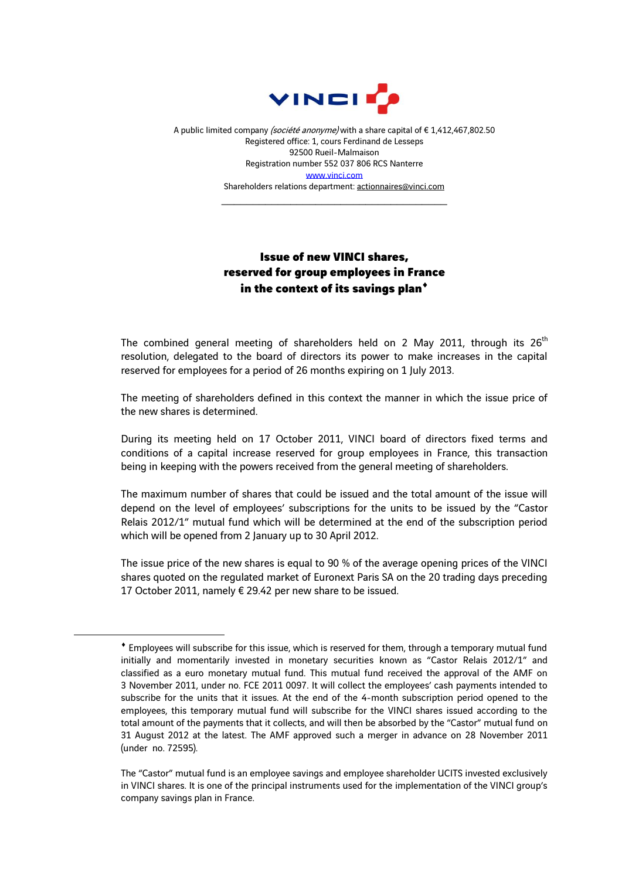

A public limited company (société anonyme) with a share capital of €1,412,467,802.50 Registered office: 1, cours Ferdinand de Lesseps 92500 Rueil-Malmaison Registration number 552 037 806 RCS Nanterre [www.vinci.com](http://www.vinci.com/) Shareholders relations department: actionnaires@vinci.com

\_\_\_\_\_\_\_\_\_\_\_\_\_\_\_\_\_\_\_\_\_\_\_\_\_\_\_\_\_\_\_\_\_\_\_\_

## Issue of new VINCI shares, reserved for group employees in France in the context of its savings plan<sup>+</sup>

The combined general meeting of shareholders held on 2 May 2011, through its 26<sup>th</sup> resolution, delegated to the board of directors its power to make increases in the capital reserved for employees for a period of 26 months expiring on 1 July 2013.

The meeting of shareholders defined in this context the manner in which the issue price of the new shares is determined.

During its meeting held on 17 October 2011, VINCI board of directors fixed terms and conditions of a capital increase reserved for group employees in France, this transaction being in keeping with the powers received from the general meeting of shareholders.

The maximum number of shares that could be issued and the total amount of the issue will depend on the level of employees' subscriptions for the units to be issued by the "Castor Relais 2012/1" mutual fund which will be determined at the end of the subscription period which will be opened from 2 January up to 30 April 2012.

The issue price of the new shares is equal to 90 % of the average opening prices of the VINCI shares quoted on the regulated market of Euronext Paris SA on the 20 trading days preceding 17 October 2011, namely € 29.42 per new share to be issued.

1

Employees will subscribe for this issue, which is reserved for them, through a temporary mutual fund initially and momentarily invested in monetary securities known as "Castor Relais 2012/1" and classified as a euro monetary mutual fund. This mutual fund received the approval of the AMF on 3 November 2011, under no. FCE 2011 0097. It will collect the employees' cash payments intended to subscribe for the units that it issues. At the end of the 4-month subscription period opened to the employees, this temporary mutual fund will subscribe for the VINCI shares issued according to the total amount of the payments that it collects, and will then be absorbed by the "Castor" mutual fund on 31 August 2012 at the latest. The AMF approved such a merger in advance on 28 November 2011 (under no. 72595).

The "Castor" mutual fund is an employee savings and employee shareholder UCITS invested exclusively in VINCI shares. It is one of the principal instruments used for the implementation of the VINCI group's company savings plan in France.